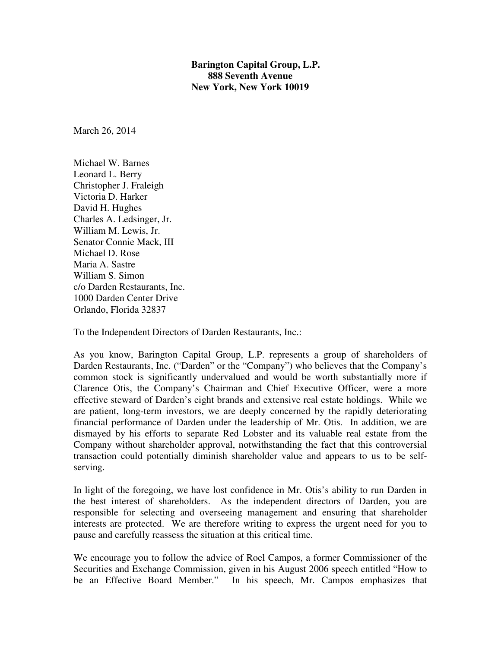**Barington Capital Group, L.P. 888 Seventh Avenue New York, New York 10019** 

March 26, 2014

Michael W. Barnes Leonard L. Berry Christopher J. Fraleigh Victoria D. Harker David H. Hughes Charles A. Ledsinger, Jr. William M. Lewis, Jr. Senator Connie Mack, III Michael D. Rose Maria A. Sastre William S. Simon c/o Darden Restaurants, Inc. 1000 Darden Center Drive Orlando, Florida 32837

To the Independent Directors of Darden Restaurants, Inc.:

As you know, Barington Capital Group, L.P. represents a group of shareholders of Darden Restaurants, Inc. ("Darden" or the "Company") who believes that the Company's common stock is significantly undervalued and would be worth substantially more if Clarence Otis, the Company's Chairman and Chief Executive Officer, were a more effective steward of Darden's eight brands and extensive real estate holdings. While we are patient, long-term investors, we are deeply concerned by the rapidly deteriorating financial performance of Darden under the leadership of Mr. Otis. In addition, we are dismayed by his efforts to separate Red Lobster and its valuable real estate from the Company without shareholder approval, notwithstanding the fact that this controversial transaction could potentially diminish shareholder value and appears to us to be selfserving.

In light of the foregoing, we have lost confidence in Mr. Otis's ability to run Darden in the best interest of shareholders. As the independent directors of Darden, you are responsible for selecting and overseeing management and ensuring that shareholder interests are protected. We are therefore writing to express the urgent need for you to pause and carefully reassess the situation at this critical time.

We encourage you to follow the advice of Roel Campos, a former Commissioner of the Securities and Exchange Commission, given in his August 2006 speech entitled "How to be an Effective Board Member." In his speech, Mr. Campos emphasizes that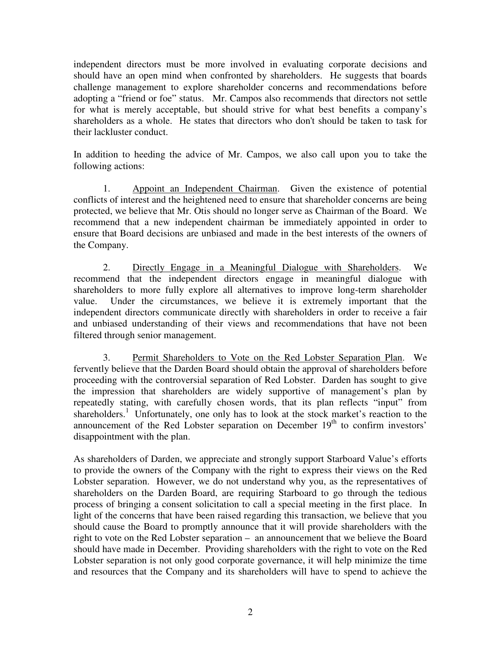independent directors must be more involved in evaluating corporate decisions and should have an open mind when confronted by shareholders. He suggests that boards challenge management to explore shareholder concerns and recommendations before adopting a "friend or foe" status. Mr. Campos also recommends that directors not settle for what is merely acceptable, but should strive for what best benefits a company's shareholders as a whole. He states that directors who don't should be taken to task for their lackluster conduct.

In addition to heeding the advice of Mr. Campos, we also call upon you to take the following actions:

 1. Appoint an Independent Chairman. Given the existence of potential conflicts of interest and the heightened need to ensure that shareholder concerns are being protected, we believe that Mr. Otis should no longer serve as Chairman of the Board. We recommend that a new independent chairman be immediately appointed in order to ensure that Board decisions are unbiased and made in the best interests of the owners of the Company.

2. Directly Engage in a Meaningful Dialogue with Shareholders. We recommend that the independent directors engage in meaningful dialogue with shareholders to more fully explore all alternatives to improve long-term shareholder value. Under the circumstances, we believe it is extremely important that the independent directors communicate directly with shareholders in order to receive a fair and unbiased understanding of their views and recommendations that have not been filtered through senior management.

3. Permit Shareholders to Vote on the Red Lobster Separation Plan. We fervently believe that the Darden Board should obtain the approval of shareholders before proceeding with the controversial separation of Red Lobster. Darden has sought to give the impression that shareholders are widely supportive of management's plan by repeatedly stating, with carefully chosen words, that its plan reflects "input" from shareholders.<sup>1</sup> Unfortunately, one only has to look at the stock market's reaction to the announcement of the Red Lobster separation on December 19<sup>th</sup> to confirm investors' disappointment with the plan.

As shareholders of Darden, we appreciate and strongly support Starboard Value's efforts to provide the owners of the Company with the right to express their views on the Red Lobster separation. However, we do not understand why you, as the representatives of shareholders on the Darden Board, are requiring Starboard to go through the tedious process of bringing a consent solicitation to call a special meeting in the first place. In light of the concerns that have been raised regarding this transaction, we believe that you should cause the Board to promptly announce that it will provide shareholders with the right to vote on the Red Lobster separation – an announcement that we believe the Board should have made in December. Providing shareholders with the right to vote on the Red Lobster separation is not only good corporate governance, it will help minimize the time and resources that the Company and its shareholders will have to spend to achieve the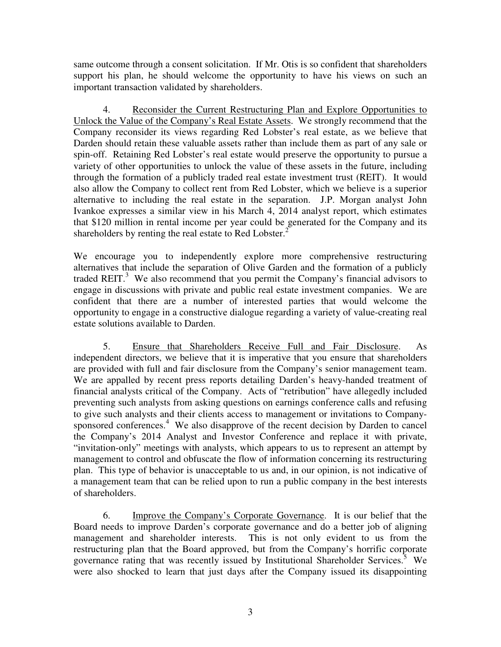same outcome through a consent solicitation. If Mr. Otis is so confident that shareholders support his plan, he should welcome the opportunity to have his views on such an important transaction validated by shareholders.

4. Reconsider the Current Restructuring Plan and Explore Opportunities to Unlock the Value of the Company's Real Estate Assets. We strongly recommend that the Company reconsider its views regarding Red Lobster's real estate, as we believe that Darden should retain these valuable assets rather than include them as part of any sale or spin-off. Retaining Red Lobster's real estate would preserve the opportunity to pursue a variety of other opportunities to unlock the value of these assets in the future, including through the formation of a publicly traded real estate investment trust (REIT). It would also allow the Company to collect rent from Red Lobster, which we believe is a superior alternative to including the real estate in the separation. J.P. Morgan analyst John Ivankoe expresses a similar view in his March 4, 2014 analyst report, which estimates that \$120 million in rental income per year could be generated for the Company and its shareholders by renting the real estate to Red Lobster. $<sup>2</sup>$ </sup>

We encourage you to independently explore more comprehensive restructuring alternatives that include the separation of Olive Garden and the formation of a publicly traded REIT. $3$  We also recommend that you permit the Company's financial advisors to engage in discussions with private and public real estate investment companies. We are confident that there are a number of interested parties that would welcome the opportunity to engage in a constructive dialogue regarding a variety of value-creating real estate solutions available to Darden.

5. Ensure that Shareholders Receive Full and Fair Disclosure. As independent directors, we believe that it is imperative that you ensure that shareholders are provided with full and fair disclosure from the Company's senior management team. We are appalled by recent press reports detailing Darden's heavy-handed treatment of financial analysts critical of the Company. Acts of "retribution" have allegedly included preventing such analysts from asking questions on earnings conference calls and refusing to give such analysts and their clients access to management or invitations to Companysponsored conferences.<sup>4</sup> We also disapprove of the recent decision by Darden to cancel the Company's 2014 Analyst and Investor Conference and replace it with private, "invitation-only" meetings with analysts, which appears to us to represent an attempt by management to control and obfuscate the flow of information concerning its restructuring plan. This type of behavior is unacceptable to us and, in our opinion, is not indicative of a management team that can be relied upon to run a public company in the best interests of shareholders.

6. Improve the Company's Corporate Governance. It is our belief that the Board needs to improve Darden's corporate governance and do a better job of aligning management and shareholder interests. This is not only evident to us from the restructuring plan that the Board approved, but from the Company's horrific corporate governance rating that was recently issued by Institutional Shareholder Services.<sup>5</sup> We were also shocked to learn that just days after the Company issued its disappointing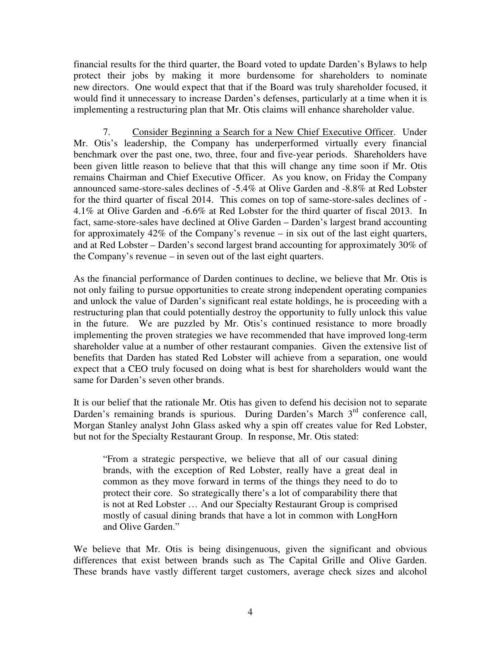financial results for the third quarter, the Board voted to update Darden's Bylaws to help protect their jobs by making it more burdensome for shareholders to nominate new directors. One would expect that that if the Board was truly shareholder focused, it would find it unnecessary to increase Darden's defenses, particularly at a time when it is implementing a restructuring plan that Mr. Otis claims will enhance shareholder value.

7. Consider Beginning a Search for a New Chief Executive Officer. Under Mr. Otis's leadership, the Company has underperformed virtually every financial benchmark over the past one, two, three, four and five-year periods. Shareholders have been given little reason to believe that that this will change any time soon if Mr. Otis remains Chairman and Chief Executive Officer. As you know, on Friday the Company announced same-store-sales declines of -5.4% at Olive Garden and -8.8% at Red Lobster for the third quarter of fiscal 2014. This comes on top of same-store-sales declines of - 4.1% at Olive Garden and -6.6% at Red Lobster for the third quarter of fiscal 2013. In fact, same-store-sales have declined at Olive Garden – Darden's largest brand accounting for approximately 42% of the Company's revenue – in six out of the last eight quarters, and at Red Lobster – Darden's second largest brand accounting for approximately 30% of the Company's revenue – in seven out of the last eight quarters.

As the financial performance of Darden continues to decline, we believe that Mr. Otis is not only failing to pursue opportunities to create strong independent operating companies and unlock the value of Darden's significant real estate holdings, he is proceeding with a restructuring plan that could potentially destroy the opportunity to fully unlock this value in the future. We are puzzled by Mr. Otis's continued resistance to more broadly implementing the proven strategies we have recommended that have improved long-term shareholder value at a number of other restaurant companies. Given the extensive list of benefits that Darden has stated Red Lobster will achieve from a separation, one would expect that a CEO truly focused on doing what is best for shareholders would want the same for Darden's seven other brands.

It is our belief that the rationale Mr. Otis has given to defend his decision not to separate Darden's remaining brands is spurious. During Darden's March 3<sup>rd</sup> conference call, Morgan Stanley analyst John Glass asked why a spin off creates value for Red Lobster, but not for the Specialty Restaurant Group. In response, Mr. Otis stated:

"From a strategic perspective, we believe that all of our casual dining brands, with the exception of Red Lobster, really have a great deal in common as they move forward in terms of the things they need to do to protect their core. So strategically there's a lot of comparability there that is not at Red Lobster … And our Specialty Restaurant Group is comprised mostly of casual dining brands that have a lot in common with LongHorn and Olive Garden."

We believe that Mr. Otis is being disingenuous, given the significant and obvious differences that exist between brands such as The Capital Grille and Olive Garden. These brands have vastly different target customers, average check sizes and alcohol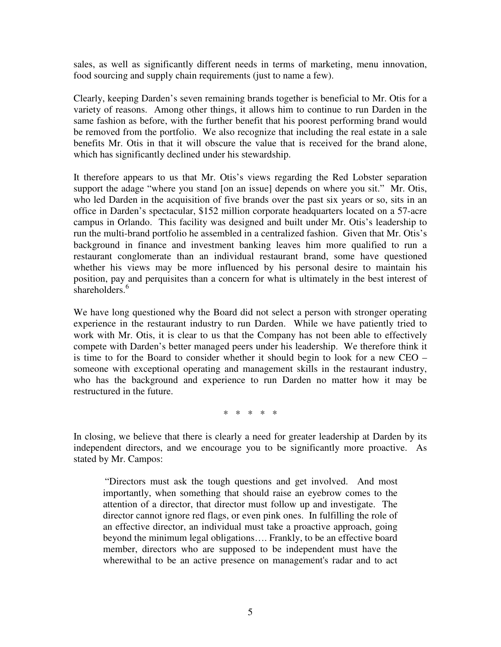sales, as well as significantly different needs in terms of marketing, menu innovation, food sourcing and supply chain requirements (just to name a few).

Clearly, keeping Darden's seven remaining brands together is beneficial to Mr. Otis for a variety of reasons. Among other things, it allows him to continue to run Darden in the same fashion as before, with the further benefit that his poorest performing brand would be removed from the portfolio. We also recognize that including the real estate in a sale benefits Mr. Otis in that it will obscure the value that is received for the brand alone, which has significantly declined under his stewardship.

It therefore appears to us that Mr. Otis's views regarding the Red Lobster separation support the adage "where you stand [on an issue] depends on where you sit." Mr. Otis, who led Darden in the acquisition of five brands over the past six years or so, sits in an office in Darden's spectacular, \$152 million corporate headquarters located on a 57-acre campus in Orlando. This facility was designed and built under Mr. Otis's leadership to run the multi-brand portfolio he assembled in a centralized fashion. Given that Mr. Otis's background in finance and investment banking leaves him more qualified to run a restaurant conglomerate than an individual restaurant brand, some have questioned whether his views may be more influenced by his personal desire to maintain his position, pay and perquisites than a concern for what is ultimately in the best interest of shareholders.<sup>6</sup>

We have long questioned why the Board did not select a person with stronger operating experience in the restaurant industry to run Darden. While we have patiently tried to work with Mr. Otis, it is clear to us that the Company has not been able to effectively compete with Darden's better managed peers under his leadership. We therefore think it is time to for the Board to consider whether it should begin to look for a new CEO – someone with exceptional operating and management skills in the restaurant industry, who has the background and experience to run Darden no matter how it may be restructured in the future.

\* \* \* \* \*

In closing, we believe that there is clearly a need for greater leadership at Darden by its independent directors, and we encourage you to be significantly more proactive. As stated by Mr. Campos:

"Directors must ask the tough questions and get involved. And most importantly, when something that should raise an eyebrow comes to the attention of a director, that director must follow up and investigate. The director cannot ignore red flags, or even pink ones. In fulfilling the role of an effective director, an individual must take a proactive approach, going beyond the minimum legal obligations…. Frankly, to be an effective board member, directors who are supposed to be independent must have the wherewithal to be an active presence on management's radar and to act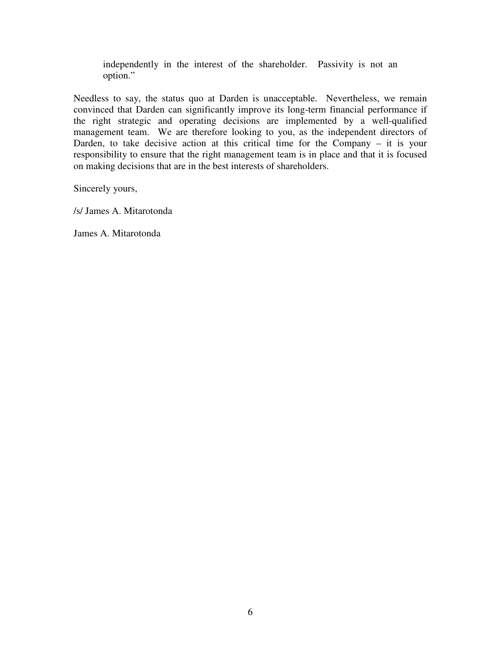independently in the interest of the shareholder. Passivity is not an option."

Needless to say, the status quo at Darden is unacceptable. Nevertheless, we remain convinced that Darden can significantly improve its long-term financial performance if the right strategic and operating decisions are implemented by a well-qualified management team. We are therefore looking to you, as the independent directors of Darden, to take decisive action at this critical time for the Company – it is your responsibility to ensure that the right management team is in place and that it is focused on making decisions that are in the best interests of shareholders.

Sincerely yours,

/s/ James A. Mitarotonda

James A. Mitarotonda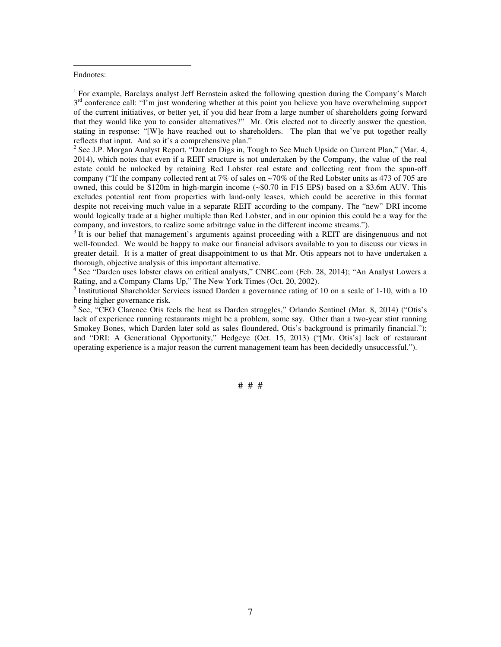## Endnotes:

 $\overline{a}$ 

<sup>1</sup> For example, Barclays analyst Jeff Bernstein asked the following question during the Company's March 3<sup>rd</sup> conference call: "I'm just wondering whether at this point you believe you have overwhelming support of the current initiatives, or better yet, if you did hear from a large number of shareholders going forward that they would like you to consider alternatives?" Mr. Otis elected not to directly answer the question, stating in response: "[W]e have reached out to shareholders. The plan that we've put together really reflects that input. And so it's a comprehensive plan."

<sup>2</sup> See J.P. Morgan Analyst Report, "Darden Digs in, Tough to See Much Upside on Current Plan," (Mar. 4, 2014), which notes that even if a REIT structure is not undertaken by the Company, the value of the real estate could be unlocked by retaining Red Lobster real estate and collecting rent from the spun-off company ("If the company collected rent at 7% of sales on ~70% of the Red Lobster units as 473 of 705 are owned, this could be \$120m in high-margin income (~\$0.70 in F15 EPS) based on a \$3.6m AUV. This excludes potential rent from properties with land-only leases, which could be accretive in this format despite not receiving much value in a separate REIT according to the company. The "new" DRI income would logically trade at a higher multiple than Red Lobster, and in our opinion this could be a way for the company, and investors, to realize some arbitrage value in the different income streams.").

 $3$  It is our belief that management's arguments against proceeding with a REIT are disingenuous and not well-founded. We would be happy to make our financial advisors available to you to discuss our views in greater detail. It is a matter of great disappointment to us that Mr. Otis appears not to have undertaken a thorough, objective analysis of this important alternative.

<sup>4</sup> See "Darden uses lobster claws on critical analysts," CNBC.com (Feb. 28, 2014); "An Analyst Lowers a Rating, and a Company Clams Up," The New York Times (Oct. 20, 2002).

<sup>5</sup> Institutional Shareholder Services issued Darden a governance rating of 10 on a scale of 1-10, with a 10 being higher governance risk.

<sup>6</sup> See, "CEO Clarence Otis feels the heat as Darden struggles," Orlando Sentinel (Mar. 8, 2014) ("Otis's lack of experience running restaurants might be a problem, some say. Other than a two-year stint running Smokey Bones, which Darden later sold as sales floundered, Otis's background is primarily financial."); and "DRI: A Generational Opportunity," Hedgeye (Oct. 15, 2013) ("[Mr. Otis's] lack of restaurant operating experience is a major reason the current management team has been decidedly unsuccessful.").

# # #